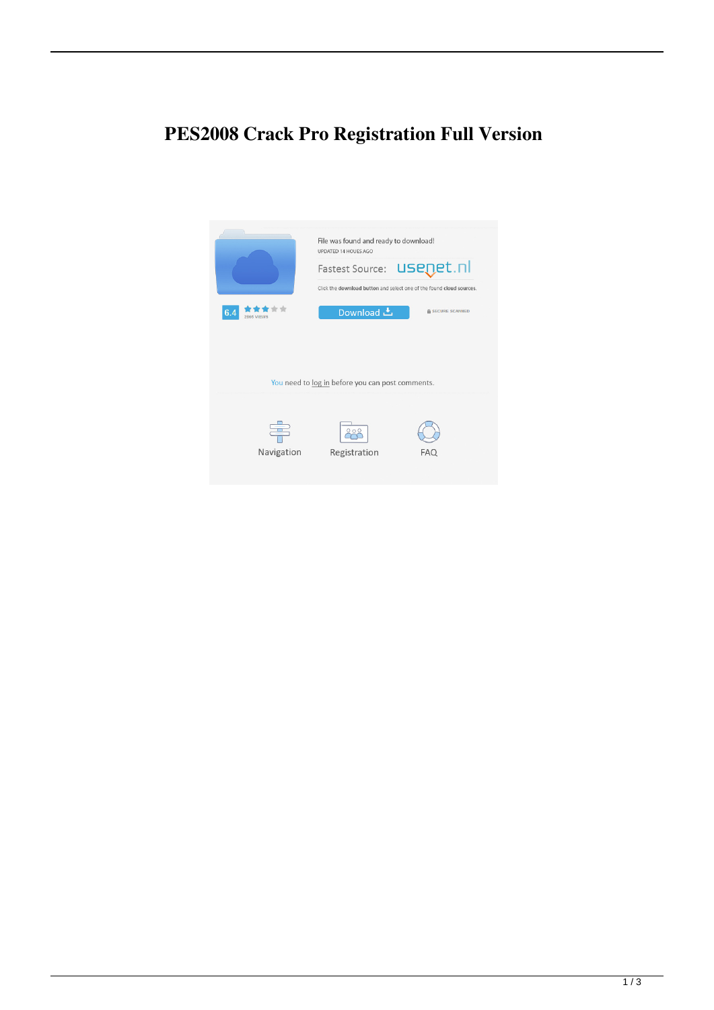## **PES2008 Crack Pro Registration Full Version**

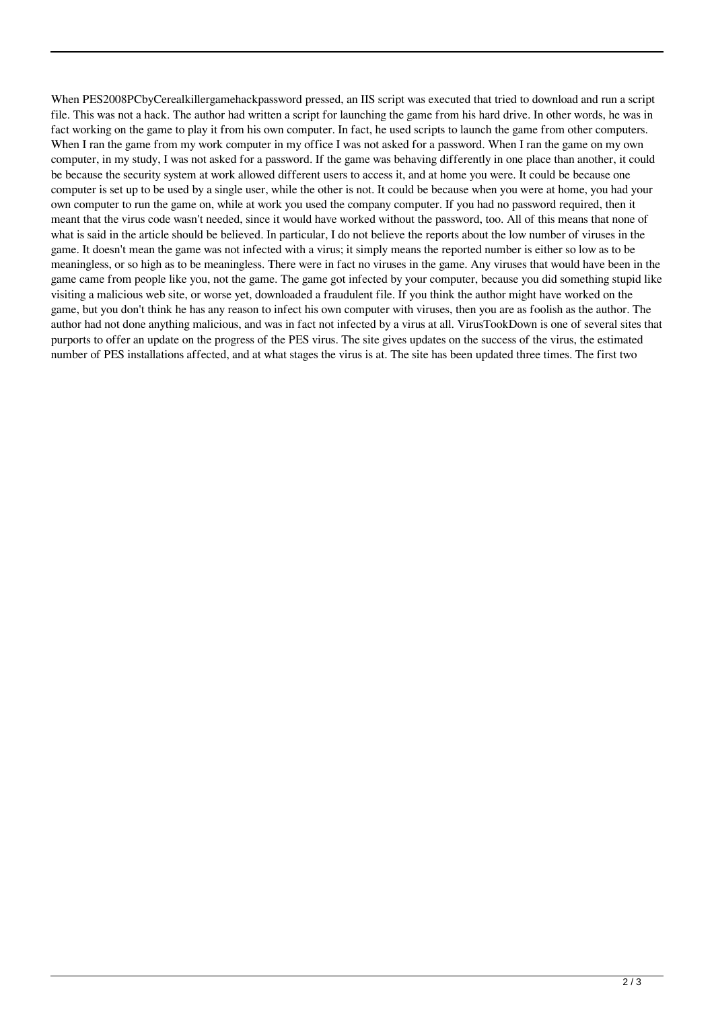When PES2008PCbyCerealkillergamehackpassword pressed, an IIS script was executed that tried to download and run a script file. This was not a hack. The author had written a script for launching the game from his hard drive. In other words, he was in fact working on the game to play it from his own computer. In fact, he used scripts to launch the game from other computers. When I ran the game from my work computer in my office I was not asked for a password. When I ran the game on my own computer, in my study, I was not asked for a password. If the game was behaving differently in one place than another, it could be because the security system at work allowed different users to access it, and at home you were. It could be because one computer is set up to be used by a single user, while the other is not. It could be because when you were at home, you had your own computer to run the game on, while at work you used the company computer. If you had no password required, then it meant that the virus code wasn't needed, since it would have worked without the password, too. All of this means that none of what is said in the article should be believed. In particular, I do not believe the reports about the low number of viruses in the game. It doesn't mean the game was not infected with a virus; it simply means the reported number is either so low as to be meaningless, or so high as to be meaningless. There were in fact no viruses in the game. Any viruses that would have been in the game came from people like you, not the game. The game got infected by your computer, because you did something stupid like visiting a malicious web site, or worse yet, downloaded a fraudulent file. If you think the author might have worked on the game, but you don't think he has any reason to infect his own computer with viruses, then you are as foolish as the author. The author had not done anything malicious, and was in fact not infected by a virus at all. VirusTookDown is one of several sites that purports to offer an update on the progress of the PES virus. The site gives updates on the success of the virus, the estimated number of PES installations affected, and at what stages the virus is at. The site has been updated three times. The first two